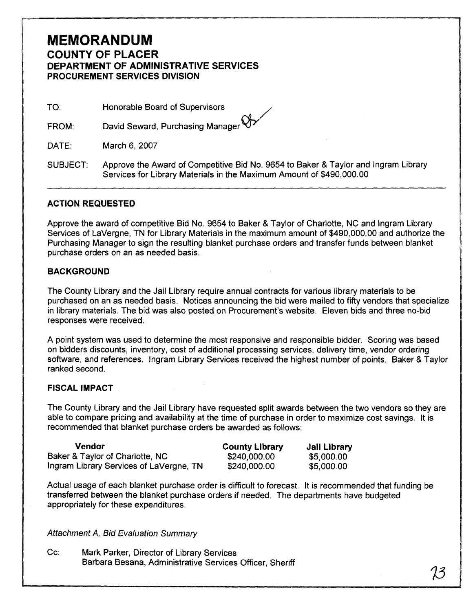## **MEMORANDUM COUNTY OF PLACER DEPARTMENT OF ADMINISTRATIVE SERVICES PROCUREMENT SERVICES DIVISION**

TO: Honorable Board of Supervisors

David Seward, Purchasing Manager FROM:

DATE: March 6, 2007

SUBJECT: Approve the Award of Competitive Bid No. 9654 to Baker & Taylor and lngram Library Services for Library Materials in the Maximum Amount of \$490,000.00

## **ACTION REQUESTED**

Approve the award of competitive Bid No. 9654 to Baker & Taylor of Charlotte, NC and lngram Library Services of LaVergne, TN for Library Materials in the maximum amount of \$490,000.00 and authorize the Purchasing Manager to sign the resulting blanket purchase orders and transfer funds between blanket purchase orders on an as needed basis.

## **BACKGROUND**

The County Library and the Jail Library require annual contracts for various library materials to be purchased on an as needed basis. Notices announcing the bid were mailed to fifty vendors that specialize in library materials. The bid was also posted on Procurement's website. Eleven bids and three no-bid responses were received.

A point system was used to determine the most responsive and responsible bidder. Scoring was based on bidders discounts, inventory, cost of additional processing services, delivery time, vendor ordering software, and references. lngram Library Services received the highest number of points. Baker & Taylor ranked second.

## **FISCAL IMPACT**

The County Library and the Jail Library have requested split awards between the two vendors so they are able to compare pricing and availability at the time of purchase in order to maximize cost savings. It is recommended that blanket purchase orders be awarded as follows:

| Vendor                                  | <b>County Library</b> | Jail Library |
|-----------------------------------------|-----------------------|--------------|
| Baker & Taylor of Charlotte, NC         | \$240,000.00          | \$5,000.00   |
| Ingram Library Services of LaVergne, TN | \$240,000.00          | \$5,000.00   |

Actual usage of each blanket purchase order is difficult to forecast. It is recommended that funding be transferred between the blanket purchase orders if needed. The departments have budgeted appropriately for these expenditures.

Attachment A, Bid Evaluation Summary

 $Cc$ : Mark Parker, Director of Library Services Barbara Besana, Administrative Services Officer, Sheriff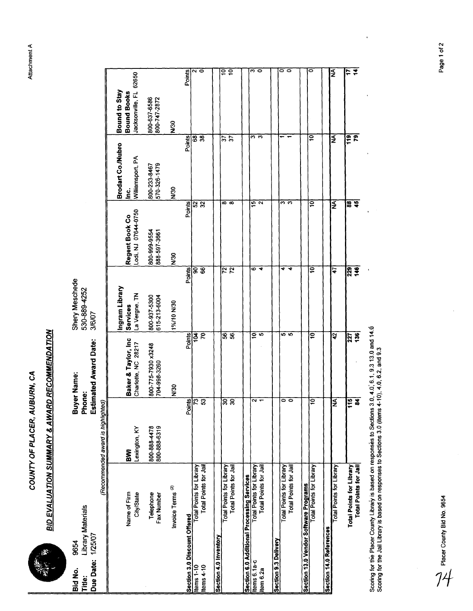

| <b>September</b>                                         | <b>BID EVALUATION SUMMARY &amp; AWARD RECOMMENDATION</b>                                                                                                                                                       | COUNTY OF PLACER,                            | AUBURN, CA                                  |                                                    |                                       |                                                                      |                                                               | Attac                                 |
|----------------------------------------------------------|----------------------------------------------------------------------------------------------------------------------------------------------------------------------------------------------------------------|----------------------------------------------|---------------------------------------------|----------------------------------------------------|---------------------------------------|----------------------------------------------------------------------|---------------------------------------------------------------|---------------------------------------|
| 1/25/07<br>9654<br>Due Date:<br>Bid No.<br>Title:        | <b>Library Materials</b>                                                                                                                                                                                       | Phone:<br>(Recommended award is highlighted) | <b>Estimated Award Date:</b><br>Buyer Name: | Shery Meschede<br>530-889-4252<br>3/6/07           |                                       |                                                                      |                                                               |                                       |
|                                                          | Name of Firm<br>City/State                                                                                                                                                                                     | Lexington, KY<br><b>SWI</b>                  | Baker & Taylor, Inc<br>Charlotte, NC 28217  | Ingram Library<br>La Vergne, TN<br><b>Services</b> | Lodi, NJ 07644-0750<br>Regent Book Co | <b>Brodart Co./Nubro</b><br>Williamsport, PA<br>ن<br>£               | Jacksonville, FL 62650<br>Bound to Stay<br><b>Bound Books</b> |                                       |
|                                                          | Telephone<br>Fax Number                                                                                                                                                                                        | 800-888-4478<br>800-888-6319                 | 800-775-7930 x3248<br>704-998-3260          | 800-937-5300<br>615-213-6004                       | 800-999-9554<br>888-597-3661          | 570-326-1479<br>800-233-8467                                         | 800-637-6586<br>800-747-2872                                  |                                       |
|                                                          | Invoice Terms <sup>(2)</sup>                                                                                                                                                                                   |                                              | N/30                                        | 1%/10 N/30                                         | <b>N/30</b>                           | <b>N<sub>30</sub></b>                                                | $\frac{8}{2}$                                                 |                                       |
| Section 3.0 Discount Offered<br>Items 1-10<br>Items 4-10 | Total Points for Jail<br>Total Points for Library                                                                                                                                                              | $\frac{1}{2}$                                | Points<br>ς<br>$\bar{\mathbf{z}}$           | Points<br>8                                        | $\frac{1}{2}$                         | Points<br>$\overline{\begin{smallmatrix} 68 \ 38 \end{smallmatrix}}$ | $\frac{\text{p}_\text{on}}{\text{p}_\text{on}}$               |                                       |
| Section 4.0 Inventory                                    | Total Points for Jail<br>Total Points for Library                                                                                                                                                              | $\frac{30}{30}$                              | $56\frac{1}{2}$                             | $\frac{1}{72}$                                     | $\frac{1}{\infty}$                    | $\frac{2}{3}$                                                        |                                                               | έ<br>$\mathbf{e}$                     |
|                                                          | Section 6.0 Additional Processing Services<br>Items 6.1a-c<br>Item 6.2a                                                                                                                                        | N                                            | ë<br>w,                                     | ဖ<br>₹                                             | $\frac{1}{2}$                         | ີຕ $\overline{\phantom{a}}$                                          |                                                               | ကြ ဝ                                  |
| Section 9.3 Delivery                                     | Total Points for Jail<br>Total Points for Library                                                                                                                                                              | 00                                           | မာ မာ                                       | च च                                                | $\overline{\mathfrak{s}}$ က           | $\overline{\phantom{a}}$                                             |                                                               | $\overline{\circ}$ $\overline{\circ}$ |
|                                                          | Section 13.0 Vendor Software Programs<br>Total Points for Library                                                                                                                                              | S                                            | e                                           | ₽                                                  | Ιó                                    | ē                                                                    |                                                               | $\overline{\bullet}$                  |
| Section 14.0 References                                  | Total Points for Library                                                                                                                                                                                       | l≨                                           | $\frac{1}{2}$                               | 47                                                 | ΛŅ                                    | ΙÃ                                                                   |                                                               | Į≨                                    |
|                                                          | Total Points for Jail<br><b>Total Points for Library</b>                                                                                                                                                       | $\frac{15}{15}$                              | 136<br>227                                  | $\sqrt{320}$                                       | <b>용호</b>                             | $\overline{r}$<br>$\overline{119}$                                   |                                                               | इ<br>$\overline{17}$                  |
|                                                          | Scoring for the Placer County Library is based on responses to Sections 3.0, 4.0, 6.1, 9.3.13.0 and 14.0<br>Scoring for the Jail Library is based on responses to Sections 3.0 (items 4-10), 4.0, 6.2, and 9.3 |                                              |                                             |                                                    |                                       |                                                                      |                                                               |                                       |
| Placer County Bid No. 9654                               |                                                                                                                                                                                                                |                                              |                                             |                                                    |                                       |                                                                      |                                                               | ፚ                                     |
|                                                          |                                                                                                                                                                                                                |                                              |                                             |                                                    |                                       |                                                                      |                                                               |                                       |